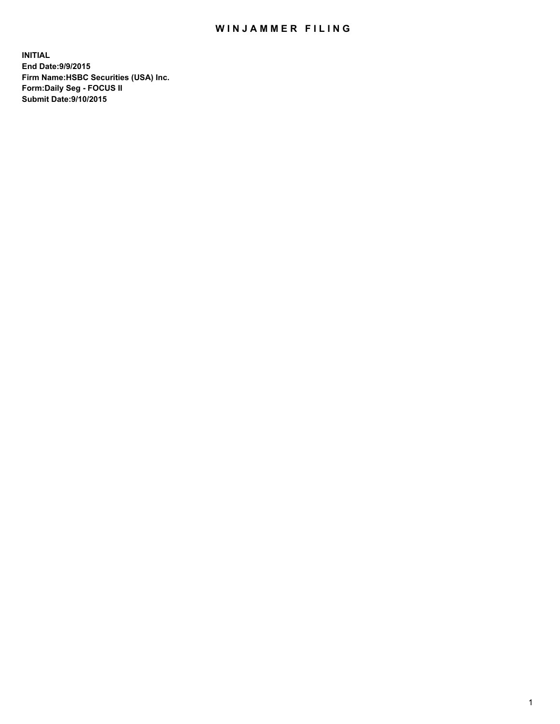## WIN JAMMER FILING

**INITIAL End Date:9/9/2015 Firm Name:HSBC Securities (USA) Inc. Form:Daily Seg - FOCUS II Submit Date:9/10/2015**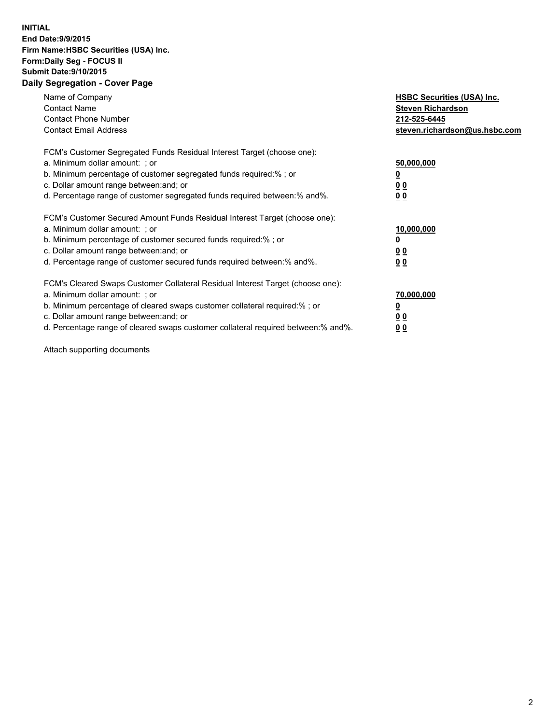## **INITIAL End Date:9/9/2015 Firm Name:HSBC Securities (USA) Inc. Form:Daily Seg - FOCUS II Submit Date:9/10/2015 Daily Segregation - Cover Page**

| Name of Company<br><b>Contact Name</b><br><b>Contact Phone Number</b><br><b>Contact Email Address</b>                                                                                                                                                                                                                          | <b>HSBC Securities (USA) Inc.</b><br><b>Steven Richardson</b><br>212-525-6445<br>steven.richardson@us.hsbc.com |
|--------------------------------------------------------------------------------------------------------------------------------------------------------------------------------------------------------------------------------------------------------------------------------------------------------------------------------|----------------------------------------------------------------------------------------------------------------|
| FCM's Customer Segregated Funds Residual Interest Target (choose one):<br>a. Minimum dollar amount: ; or<br>b. Minimum percentage of customer segregated funds required:%; or<br>c. Dollar amount range between: and; or<br>d. Percentage range of customer segregated funds required between:% and%.                          | 50,000,000<br>00<br>00                                                                                         |
| FCM's Customer Secured Amount Funds Residual Interest Target (choose one):<br>a. Minimum dollar amount: ; or<br>b. Minimum percentage of customer secured funds required:%; or<br>c. Dollar amount range between: and; or<br>d. Percentage range of customer secured funds required between:% and%.                            | 10,000,000<br>0 <sub>0</sub><br>00                                                                             |
| FCM's Cleared Swaps Customer Collateral Residual Interest Target (choose one):<br>a. Minimum dollar amount: ; or<br>b. Minimum percentage of cleared swaps customer collateral required:% ; or<br>c. Dollar amount range between: and; or<br>d. Percentage range of cleared swaps customer collateral required between:% and%. | 70,000,000<br><u>00</u><br><u>00</u>                                                                           |

Attach supporting documents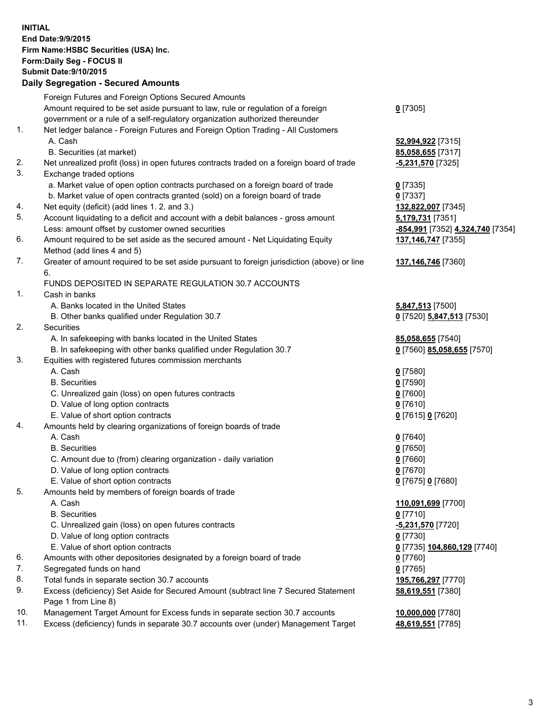**INITIAL End Date:9/9/2015 Firm Name:HSBC Securities (USA) Inc. Form:Daily Seg - FOCUS II Submit Date:9/10/2015 Daily Segregation - Secured Amounts**

Foreign Futures and Foreign Options Secured Amounts Amount required to be set aside pursuant to law, rule or regulation of a foreign government or a rule of a self-regulatory organization authorized thereunder **0** [7305] 1. Net ledger balance - Foreign Futures and Foreign Option Trading - All Customers A. Cash **52,994,922** [7315] B. Securities (at market) **85,058,655** [7317] 2. Net unrealized profit (loss) in open futures contracts traded on a foreign board of trade **-5,231,570** [7325] 3. Exchange traded options a. Market value of open option contracts purchased on a foreign board of trade **0** [7335] b. Market value of open contracts granted (sold) on a foreign board of trade **0** [7337] 4. Net equity (deficit) (add lines 1. 2. and 3.) **132,822,007** [7345] 5. Account liquidating to a deficit and account with a debit balances - gross amount **5,179,731** [7351] Less: amount offset by customer owned securities **-854,991** [7352] **4,324,740** [7354] 6. Amount required to be set aside as the secured amount - Net Liquidating Equity Method (add lines 4 and 5) **137,146,747** [7355] 7. Greater of amount required to be set aside pursuant to foreign jurisdiction (above) or line 6. **137,146,746** [7360] FUNDS DEPOSITED IN SEPARATE REGULATION 30.7 ACCOUNTS 1. Cash in banks A. Banks located in the United States **5,847,513** [7500] B. Other banks qualified under Regulation 30.7 **0** [7520] **5,847,513** [7530] 2. Securities A. In safekeeping with banks located in the United States **85,058,655** [7540] B. In safekeeping with other banks qualified under Regulation 30.7 **0** [7560] **85,058,655** [7570] 3. Equities with registered futures commission merchants A. Cash **0** [7580] B. Securities **0** [7590] C. Unrealized gain (loss) on open futures contracts **0** [7600] D. Value of long option contracts **0** [7610] E. Value of short option contracts **0** [7615] **0** [7620] 4. Amounts held by clearing organizations of foreign boards of trade A. Cash **0** [7640] B. Securities **0** [7650] C. Amount due to (from) clearing organization - daily variation **0** [7660] D. Value of long option contracts **0** [7670] E. Value of short option contracts **0** [7675] **0** [7680] 5. Amounts held by members of foreign boards of trade A. Cash **110,091,699** [7700] B. Securities **0** [7710] C. Unrealized gain (loss) on open futures contracts **-5,231,570** [7720] D. Value of long option contracts **0** [7730] E. Value of short option contracts **0** [7735] **104,860,129** [7740] 6. Amounts with other depositories designated by a foreign board of trade **0** [7760] 7. Segregated funds on hand **0** [7765] 8. Total funds in separate section 30.7 accounts **195,766,297** [7770] 9. Excess (deficiency) Set Aside for Secured Amount (subtract line 7 Secured Statement Page 1 from Line 8) **58,619,551** [7380] 10. Management Target Amount for Excess funds in separate section 30.7 accounts **10,000,000** [7780] 11. Excess (deficiency) funds in separate 30.7 accounts over (under) Management Target **48,619,551** [7785]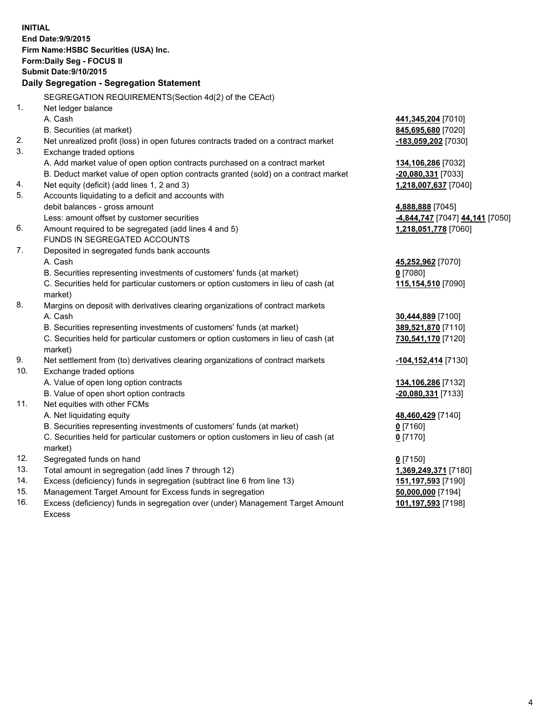| <b>INITIAL</b>                        |                                                                                     |                                              |  |  |
|---------------------------------------|-------------------------------------------------------------------------------------|----------------------------------------------|--|--|
| End Date: 9/9/2015                    |                                                                                     |                                              |  |  |
| Firm Name: HSBC Securities (USA) Inc. |                                                                                     |                                              |  |  |
| Form: Daily Seg - FOCUS II            |                                                                                     |                                              |  |  |
| <b>Submit Date: 9/10/2015</b>         |                                                                                     |                                              |  |  |
|                                       | Daily Segregation - Segregation Statement                                           |                                              |  |  |
|                                       | SEGREGATION REQUIREMENTS(Section 4d(2) of the CEAct)                                |                                              |  |  |
| $\mathbf{1}$ .                        | Net ledger balance                                                                  |                                              |  |  |
|                                       | A. Cash                                                                             | 441,345,204 [7010]                           |  |  |
|                                       | B. Securities (at market)                                                           | 845,695,680 [7020]                           |  |  |
| 2.                                    | Net unrealized profit (loss) in open futures contracts traded on a contract market  | -183,059,202 [7030]                          |  |  |
| 3.                                    | Exchange traded options                                                             |                                              |  |  |
|                                       | A. Add market value of open option contracts purchased on a contract market         | 134,106,286 [7032]                           |  |  |
|                                       | B. Deduct market value of open option contracts granted (sold) on a contract market | -20,080,331 [7033]                           |  |  |
| 4.                                    | Net equity (deficit) (add lines 1, 2 and 3)                                         | 1,218,007,637 [7040]                         |  |  |
| 5.                                    | Accounts liquidating to a deficit and accounts with                                 |                                              |  |  |
|                                       | debit balances - gross amount                                                       | 4,888,888 [7045]                             |  |  |
|                                       | Less: amount offset by customer securities                                          | -4,844,747 [7047] 44,141 [7050]              |  |  |
| 6.                                    | Amount required to be segregated (add lines 4 and 5)                                | 1,218,051,778 [7060]                         |  |  |
|                                       | FUNDS IN SEGREGATED ACCOUNTS                                                        |                                              |  |  |
| 7.                                    | Deposited in segregated funds bank accounts                                         |                                              |  |  |
|                                       | A. Cash                                                                             | 45,252,962 [7070]                            |  |  |
|                                       | B. Securities representing investments of customers' funds (at market)              | $0$ [7080]                                   |  |  |
|                                       | C. Securities held for particular customers or option customers in lieu of cash (at | 115,154,510 [7090]                           |  |  |
|                                       | market)                                                                             |                                              |  |  |
| 8.                                    | Margins on deposit with derivatives clearing organizations of contract markets      |                                              |  |  |
|                                       | A. Cash                                                                             | 30,444,889 [7100]                            |  |  |
|                                       | B. Securities representing investments of customers' funds (at market)              | 389,521,870 [7110]                           |  |  |
|                                       | C. Securities held for particular customers or option customers in lieu of cash (at | 730,541,170 [7120]                           |  |  |
|                                       | market)                                                                             |                                              |  |  |
| 9.                                    | Net settlement from (to) derivatives clearing organizations of contract markets     | -104,152,414 [7130]                          |  |  |
| 10.                                   | Exchange traded options                                                             |                                              |  |  |
|                                       | A. Value of open long option contracts                                              | 134, 106, 286 [7132]                         |  |  |
|                                       | B. Value of open short option contracts                                             | -20,080,331 [7133]                           |  |  |
| 11.                                   | Net equities with other FCMs                                                        |                                              |  |  |
|                                       | A. Net liquidating equity                                                           | 48,460,429 [7140]                            |  |  |
|                                       | B. Securities representing investments of customers' funds (at market)              | <u>0</u> [7160]                              |  |  |
|                                       | C. Securities held for particular customers or option customers in lieu of cash (at | $0$ [7170]                                   |  |  |
| 12.                                   | market)<br>Segregated funds on hand                                                 |                                              |  |  |
| 13.                                   | Total amount in segregation (add lines 7 through 12)                                | $0$ [7150]                                   |  |  |
| 14.                                   | Excess (deficiency) funds in segregation (subtract line 6 from line 13)             | 1,369,249,371 [7180]<br>151, 197, 593 [7190] |  |  |
| 15.                                   | Management Target Amount for Excess funds in segregation                            | 50,000,000 [7194]                            |  |  |
| 16.                                   | Excess (deficiency) funds in segregation over (under) Management Target Amount      | 101,197,593 [7198]                           |  |  |
|                                       |                                                                                     |                                              |  |  |

16. Excess (deficiency) funds in segregation over (under) Management Target Amount Excess